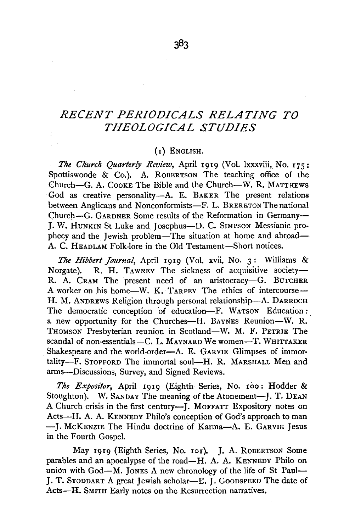## *RECENT PERIODICALS RELATING TO THEOLOGICAL STUDIES*

## (I) ENGLISH.

*The Church Quarterly Review,* April 1919 (Vol. lxxxviii, No. 175: Spottiswoode  $\&$  Co.). A. ROBERTSON The teaching office of the Church-G. A. CooKE The Bible and the Church-W. R. MATTHEWS God as creative personality-A. E. BAKER The present relations between Anglicans and Nonconformists-F. L. BRERETON The national Church-G. GARDNER Some results of the Reformation in Germany-J. W. HUNKIN St Luke and Josephus-D. C. SIMPSON Messianic prophecy and the Jewish problem-The situation at home and abroad-A. C. HEADLAM Folk-lore in the Old Testament-Short notices.

*The Hibbert Journal,* April 1919 (Vol. xvii, No. 3: Williams & Norgate). R. H. TAWNEY The sickness of acquisitive society-R. A. CRAM The present need of an aristocracy-G. BUTCHER A worker on his home-W. K. TARPEY The ethics of intercourse-H. M. ANDREWS Religion through personal relationship-A. DARROCH The democratic conception of education-F. WATSON Education: a new opportunity for the Churches-H. BAYNES Reunion-W. R. THOMSON Presbyterian reunion in Scotland-W. M. F. PETRIE The scandal of non-essentials-C. L. MAYNARD We women-T. WHITTAKER Shakespeare and the world-order-A. E. GARVIE Glimpses of immortality-F. STOPFORD The immortal soul-H. R. MARSHALL Men and arms-Discussions, Survey, and Signed Reviews.

*The Expositor,* April 1919 (Eighth· Series, No. 100: Hodder & Stoughton). W. SANDAY The meaning of the Atonement-J. T. DEAN A Church crisis in the first century--J. MOFFATT Expository notes on Acts-H. A. A. KENNEDY Philo's conception of God's approach to man -J. McKENZIE The Hindu doctrine of Karma-A. E. GARVIE Jesus in the Fourth Gospel.

May 1919 (Eighth Series, No. 101). J. A. ROBERTSON Some parables and an apocalypse of the road-H. A. A. KENNEDY Philo on union with  $God-M$ . JONES A new chronology of the life of St Paul-J. T. STODDART A great Jewish scholar-E. J. GOODSPEED The date of Acts-H. SMITH Early notes on the Resurrection narratives.